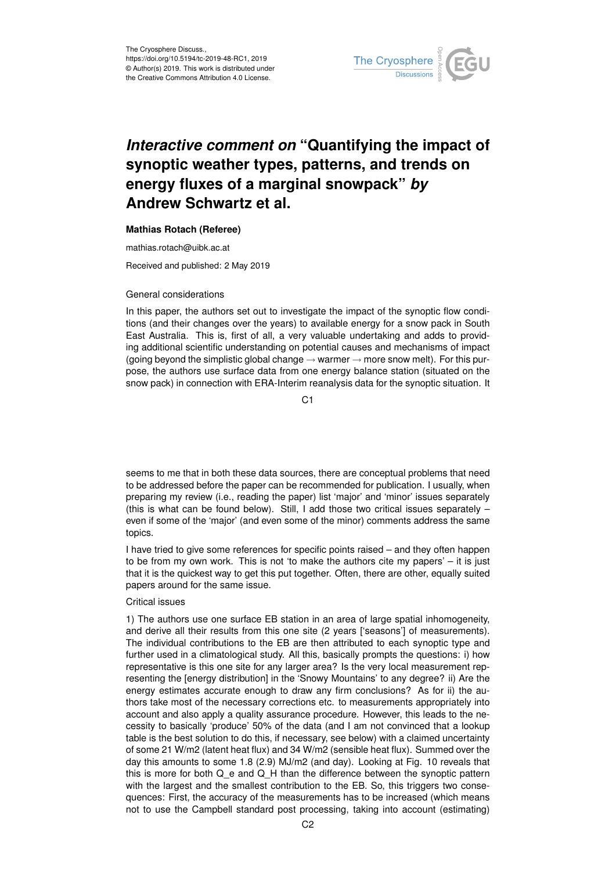

# *Interactive comment on* **"Quantifying the impact of synoptic weather types, patterns, and trends on energy fluxes of a marginal snowpack"** *by* **Andrew Schwartz et al.**

### **Mathias Rotach (Referee)**

mathias.rotach@uibk.ac.at

Received and published: 2 May 2019

### General considerations

In this paper, the authors set out to investigate the impact of the synoptic flow conditions (and their changes over the years) to available energy for a snow pack in South East Australia. This is, first of all, a very valuable undertaking and adds to providing additional scientific understanding on potential causes and mechanisms of impact (going beyond the simplistic global change  $\rightarrow$  warmer  $\rightarrow$  more snow melt). For this purpose, the authors use surface data from one energy balance station (situated on the snow pack) in connection with ERA-Interim reanalysis data for the synoptic situation. It

C<sub>1</sub>

seems to me that in both these data sources, there are conceptual problems that need to be addressed before the paper can be recommended for publication. I usually, when preparing my review (i.e., reading the paper) list 'major' and 'minor' issues separately (this is what can be found below). Still, I add those two critical issues separately – even if some of the 'major' (and even some of the minor) comments address the same topics.

I have tried to give some references for specific points raised – and they often happen to be from my own work. This is not 'to make the authors cite my papers' – it is just that it is the quickest way to get this put together. Often, there are other, equally suited papers around for the same issue.

# Critical issues

1) The authors use one surface EB station in an area of large spatial inhomogeneity, and derive all their results from this one site (2 years ['seasons'] of measurements). The individual contributions to the EB are then attributed to each synoptic type and further used in a climatological study. All this, basically prompts the questions: i) how representative is this one site for any larger area? Is the very local measurement representing the [energy distribution] in the 'Snowy Mountains' to any degree? ii) Are the energy estimates accurate enough to draw any firm conclusions? As for ii) the authors take most of the necessary corrections etc. to measurements appropriately into account and also apply a quality assurance procedure. However, this leads to the necessity to basically 'produce' 50% of the data (and I am not convinced that a lookup table is the best solution to do this, if necessary, see below) with a claimed uncertainty of some 21 W/m2 (latent heat flux) and 34 W/m2 (sensible heat flux). Summed over the day this amounts to some 1.8 (2.9) MJ/m2 (and day). Looking at Fig. 10 reveals that this is more for both Q\_e and Q\_H than the difference between the synoptic pattern with the largest and the smallest contribution to the EB. So, this triggers two consequences: First, the accuracy of the measurements has to be increased (which means not to use the Campbell standard post processing, taking into account (estimating)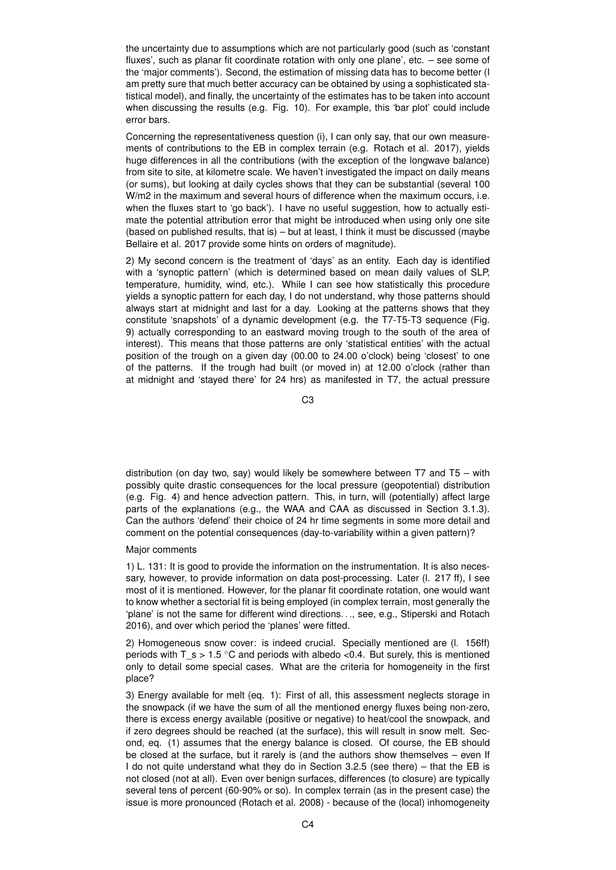the uncertainty due to assumptions which are not particularly good (such as 'constant fluxes', such as planar fit coordinate rotation with only one plane', etc. – see some of the 'major comments'). Second, the estimation of missing data has to become better (I am pretty sure that much better accuracy can be obtained by using a sophisticated statistical model), and finally, the uncertainty of the estimates has to be taken into account when discussing the results (e.g. Fig. 10). For example, this 'bar plot' could include error bars.

Concerning the representativeness question (i), I can only say, that our own measurements of contributions to the EB in complex terrain (e.g. Rotach et al. 2017), yields huge differences in all the contributions (with the exception of the longwave balance) from site to site, at kilometre scale. We haven't investigated the impact on daily means (or sums), but looking at daily cycles shows that they can be substantial (several 100 W/m2 in the maximum and several hours of difference when the maximum occurs, i.e. when the fluxes start to 'go back'). I have no useful suggestion, how to actually estimate the potential attribution error that might be introduced when using only one site (based on published results, that is) – but at least, I think it must be discussed (maybe Bellaire et al. 2017 provide some hints on orders of magnitude).

2) My second concern is the treatment of 'days' as an entity. Each day is identified with a 'synoptic pattern' (which is determined based on mean daily values of SLP, temperature, humidity, wind, etc.). While I can see how statistically this procedure yields a synoptic pattern for each day, I do not understand, why those patterns should always start at midnight and last for a day. Looking at the patterns shows that they constitute 'snapshots' of a dynamic development (e.g. the T7-T5-T3 sequence (Fig. 9) actually corresponding to an eastward moving trough to the south of the area of interest). This means that those patterns are only 'statistical entities' with the actual position of the trough on a given day (00.00 to 24.00 o'clock) being 'closest' to one of the patterns. If the trough had built (or moved in) at 12.00 o'clock (rather than at midnight and 'stayed there' for 24 hrs) as manifested in T7, the actual pressure

C3

distribution (on day two, say) would likely be somewhere between T7 and T5 – with possibly quite drastic consequences for the local pressure (geopotential) distribution (e.g. Fig. 4) and hence advection pattern. This, in turn, will (potentially) affect large parts of the explanations (e.g., the WAA and CAA as discussed in Section 3.1.3). Can the authors 'defend' their choice of 24 hr time segments in some more detail and comment on the potential consequences (day-to-variability within a given pattern)?

# Major comments

1) L. 131: It is good to provide the information on the instrumentation. It is also necessary, however, to provide information on data post-processing. Later (l. 217 ff), I see most of it is mentioned. However, for the planar fit coordinate rotation, one would want to know whether a sectorial fit is being employed (in complex terrain, most generally the 'plane' is not the same for different wind directions. . ., see, e.g., Stiperski and Rotach 2016), and over which period the 'planes' were fitted.

2) Homogeneous snow cover: is indeed crucial. Specially mentioned are (l. 156ff) periods with T\_s > 1.5  $\degree$ C and periods with albedo <0.4. But surely, this is mentioned only to detail some special cases. What are the criteria for homogeneity in the first place?

3) Energy available for melt (eq. 1): First of all, this assessment neglects storage in the snowpack (if we have the sum of all the mentioned energy fluxes being non-zero, there is excess energy available (positive or negative) to heat/cool the snowpack, and if zero degrees should be reached (at the surface), this will result in snow melt. Second, eq. (1) assumes that the energy balance is closed. Of course, the EB should be closed at the surface, but it rarely is (and the authors show themselves – even If I do not quite understand what they do in Section 3.2.5 (see there) – that the EB is not closed (not at all). Even over benign surfaces, differences (to closure) are typically several tens of percent (60-90% or so). In complex terrain (as in the present case) the issue is more pronounced (Rotach et al. 2008) - because of the (local) inhomogeneity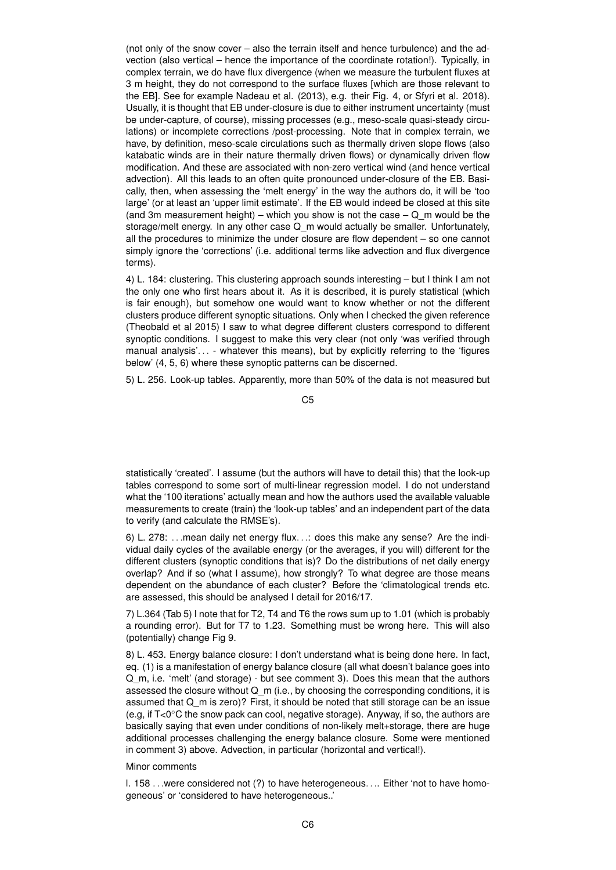(not only of the snow cover – also the terrain itself and hence turbulence) and the advection (also vertical – hence the importance of the coordinate rotation!). Typically, in complex terrain, we do have flux divergence (when we measure the turbulent fluxes at 3 m height, they do not correspond to the surface fluxes [which are those relevant to the EB]. See for example Nadeau et al. (2013), e.g. their Fig. 4, or Sfyri et al. 2018). Usually, it is thought that EB under-closure is due to either instrument uncertainty (must be under-capture, of course), missing processes (e.g., meso-scale quasi-steady circulations) or incomplete corrections /post-processing. Note that in complex terrain, we have, by definition, meso-scale circulations such as thermally driven slope flows (also katabatic winds are in their nature thermally driven flows) or dynamically driven flow modification. And these are associated with non-zero vertical wind (and hence vertical advection). All this leads to an often quite pronounced under-closure of the EB. Basically, then, when assessing the 'melt energy' in the way the authors do, it will be 'too large' (or at least an 'upper limit estimate'. If the EB would indeed be closed at this site (and 3m measurement height) – which you show is not the case –  $Q$  m would be the storage/melt energy. In any other case Q\_m would actually be smaller. Unfortunately, all the procedures to minimize the under closure are flow dependent – so one cannot simply ignore the 'corrections' (i.e. additional terms like advection and flux divergence terms).

4) L. 184: clustering. This clustering approach sounds interesting – but I think I am not the only one who first hears about it. As it is described, it is purely statistical (which is fair enough), but somehow one would want to know whether or not the different clusters produce different synoptic situations. Only when I checked the given reference (Theobald et al 2015) I saw to what degree different clusters correspond to different synoptic conditions. I suggest to make this very clear (not only 'was verified through manual analysis'. . . - whatever this means), but by explicitly referring to the 'figures below' (4, 5, 6) where these synoptic patterns can be discerned.

5) L. 256. Look-up tables. Apparently, more than 50% of the data is not measured but

 $C<sub>5</sub>$ 

statistically 'created'. I assume (but the authors will have to detail this) that the look-up tables correspond to some sort of multi-linear regression model. I do not understand what the '100 iterations' actually mean and how the authors used the available valuable measurements to create (train) the 'look-up tables' and an independent part of the data to verify (and calculate the RMSE's).

6) L. 278: . . .mean daily net energy flux. . .: does this make any sense? Are the individual daily cycles of the available energy (or the averages, if you will) different for the different clusters (synoptic conditions that is)? Do the distributions of net daily energy overlap? And if so (what I assume), how strongly? To what degree are those means dependent on the abundance of each cluster? Before the 'climatological trends etc. are assessed, this should be analysed I detail for 2016/17.

7) L.364 (Tab 5) I note that for T2, T4 and T6 the rows sum up to 1.01 (which is probably a rounding error). But for T7 to 1.23. Something must be wrong here. This will also (potentially) change Fig 9.

8) L. 453. Energy balance closure: I don't understand what is being done here. In fact, eq. (1) is a manifestation of energy balance closure (all what doesn't balance goes into Q\_m, i.e. 'melt' (and storage) - but see comment 3). Does this mean that the authors assessed the closure without Q m (i.e., by choosing the corresponding conditions, it is assumed that  $Q$  m is zero)? First, it should be noted that still storage can be an issue (e.g, if T<0◦C the snow pack can cool, negative storage). Anyway, if so, the authors are basically saying that even under conditions of non-likely melt+storage, there are huge additional processes challenging the energy balance closure. Some were mentioned in comment 3) above. Advection, in particular (horizontal and vertical!).

#### Minor comments

l. 158 . . .were considered not (?) to have heterogeneous. . .. Either 'not to have homogeneous' or 'considered to have heterogeneous..'